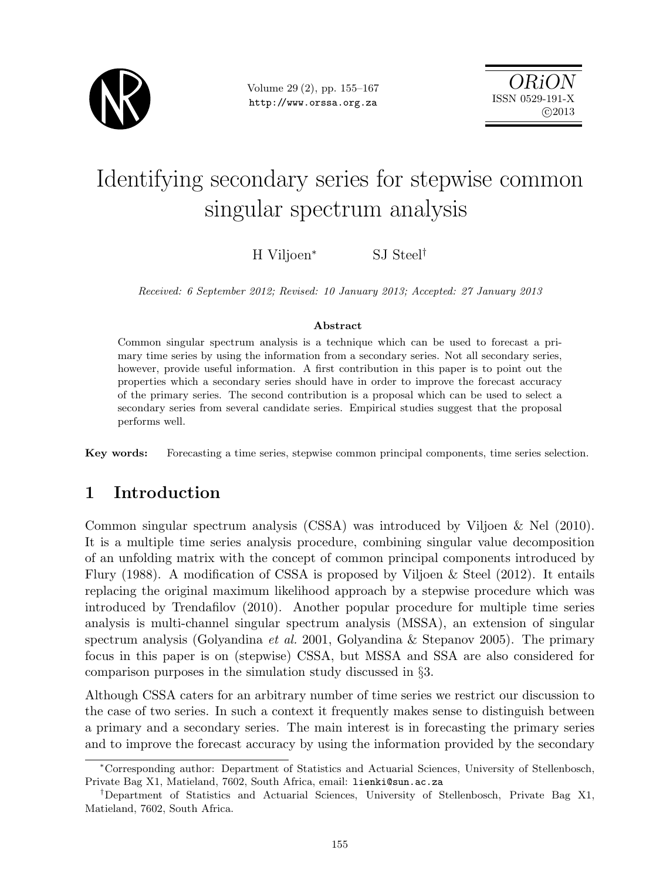

Volume 29 (2), pp. 155–167 http://www.orssa.org.za

ORiON ISSN 0529-191-X  $C<sub>2013</sub>$ 

# Identifying secondary series for stepwise common singular spectrum analysis

H Viljoen<sup>∗</sup> SJ Steel†

Received: 6 September 2012; Revised: 10 January 2013; Accepted: 27 January 2013

#### Abstract

Common singular spectrum analysis is a technique which can be used to forecast a primary time series by using the information from a secondary series. Not all secondary series, however, provide useful information. A first contribution in this paper is to point out the properties which a secondary series should have in order to improve the forecast accuracy of the primary series. The second contribution is a proposal which can be used to select a secondary series from several candidate series. Empirical studies suggest that the proposal performs well.

Key words: Forecasting a time series, stepwise common principal components, time series selection.

# 1 Introduction

Common singular spectrum analysis (CSSA) was introduced by Viljoen & Nel (2010). It is a multiple time series analysis procedure, combining singular value decomposition of an unfolding matrix with the concept of common principal components introduced by Flury (1988). A modification of CSSA is proposed by Viljoen  $\&$  Steel (2012). It entails replacing the original maximum likelihood approach by a stepwise procedure which was introduced by Trendafilov (2010). Another popular procedure for multiple time series analysis is multi-channel singular spectrum analysis (MSSA), an extension of singular spectrum analysis (Golyandina et al. 2001, Golyandina & Stepanov 2005). The primary focus in this paper is on (stepwise) CSSA, but MSSA and SSA are also considered for comparison purposes in the simulation study discussed in §3.

Although CSSA caters for an arbitrary number of time series we restrict our discussion to the case of two series. In such a context it frequently makes sense to distinguish between a primary and a secondary series. The main interest is in forecasting the primary series and to improve the forecast accuracy by using the information provided by the secondary

<sup>∗</sup>Corresponding author: Department of Statistics and Actuarial Sciences, University of Stellenbosch, Private Bag X1, Matieland, 7602, South Africa, email: lienki@sun.ac.za

<sup>†</sup>Department of Statistics and Actuarial Sciences, University of Stellenbosch, Private Bag X1, Matieland, 7602, South Africa.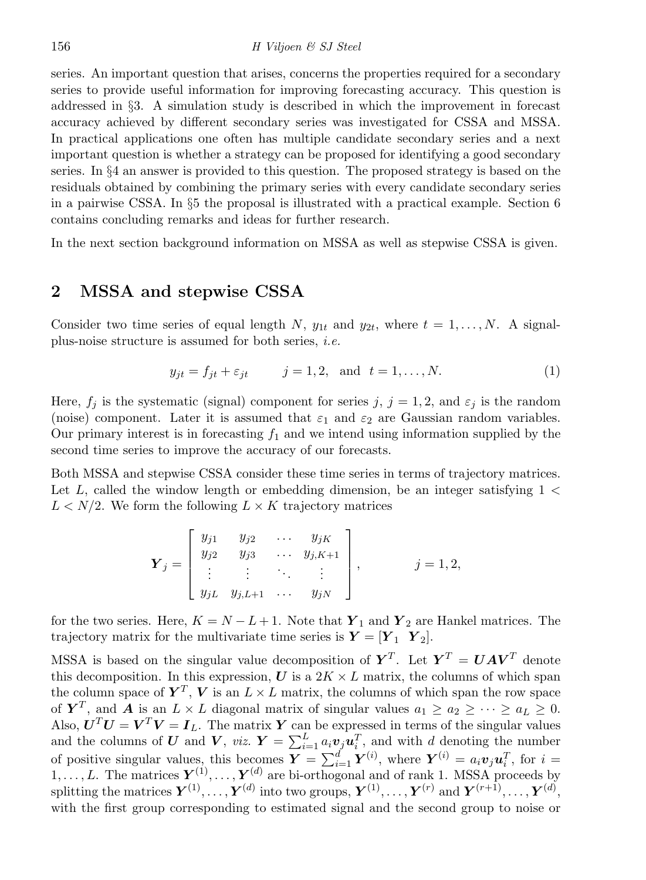series. An important question that arises, concerns the properties required for a secondary series to provide useful information for improving forecasting accuracy. This question is addressed in §3. A simulation study is described in which the improvement in forecast accuracy achieved by different secondary series was investigated for CSSA and MSSA. In practical applications one often has multiple candidate secondary series and a next important question is whether a strategy can be proposed for identifying a good secondary series. In §4 an answer is provided to this question. The proposed strategy is based on the residuals obtained by combining the primary series with every candidate secondary series in a pairwise CSSA. In §5 the proposal is illustrated with a practical example. Section 6 contains concluding remarks and ideas for further research.

In the next section background information on MSSA as well as stepwise CSSA is given.

## 2 MSSA and stepwise CSSA

Consider two time series of equal length N,  $y_{1t}$  and  $y_{2t}$ , where  $t = 1, \ldots, N$ . A signalplus-noise structure is assumed for both series, i.e.

$$
y_{jt} = f_{jt} + \varepsilon_{jt} \qquad j = 1, 2, \text{ and } t = 1, \dots, N. \tag{1}
$$

Here,  $f_j$  is the systematic (signal) component for series j,  $j = 1, 2$ , and  $\varepsilon_j$  is the random (noise) component. Later it is assumed that  $\varepsilon_1$  and  $\varepsilon_2$  are Gaussian random variables. Our primary interest is in forecasting  $f_1$  and we intend using information supplied by the second time series to improve the accuracy of our forecasts.

Both MSSA and stepwise CSSA consider these time series in terms of trajectory matrices. Let  $L$ , called the window length or embedding dimension, be an integer satisfying  $1 <$  $L < N/2$ . We form the following  $L \times K$  trajectory matrices

$$
\boldsymbol{Y}_j = \begin{bmatrix} y_{j1} & y_{j2} & \dots & y_{jK} \\ y_{j2} & y_{j3} & \dots & y_{j,K+1} \\ \vdots & \vdots & \ddots & \vdots \\ y_{jL} & y_{j,L+1} & \dots & y_{jN} \end{bmatrix}, \qquad j = 1, 2,
$$

for the two series. Here,  $K = N - L + 1$ . Note that  $\boldsymbol{Y}_1$  and  $\boldsymbol{Y}_2$  are Hankel matrices. The trajectory matrix for the multivariate time series is  $Y = [Y_1 \ Y_2]$ .

MSSA is based on the singular value decomposition of  $Y^T$ . Let  $Y^T = UAV^T$  denote this decomposition. In this expression,  $U$  is a  $2K \times L$  matrix, the columns of which span the column space of  $\boldsymbol{Y}^T$ , V is an  $L \times L$  matrix, the columns of which span the row space of  $Y^T$ , and A is an  $L \times L$  diagonal matrix of singular values  $a_1 \ge a_2 \ge \cdots \ge a_L \ge 0$ . Also,  $\boldsymbol{U}^T \boldsymbol{U} = \boldsymbol{V}^T \boldsymbol{V} = \boldsymbol{I}_L$ . The matrix  $\boldsymbol{Y}$  can be expressed in terms of the singular values and the columns of U and V, viz.  $Y = \sum_{i=1}^{L} a_i v_j u_i^T$ , and with d denoting the number of positive singular values, this becomes  $\boldsymbol{Y} = \sum_{i=1}^{d} \boldsymbol{Y}^{(i)}$ , where  $\boldsymbol{Y}^{(i)} = a_i \boldsymbol{v}_j \boldsymbol{u}_i^T$ , for  $i =$  $1, \ldots, L$ . The matrices  $Y^{(1)}, \ldots, Y^{(d)}$  are bi-orthogonal and of rank 1. MSSA proceeds by splitting the matrices  $\bm Y^{(1)}, \ldots, \bm Y^{(d)}$  into two groups,  $\bm Y^{(1)}, \ldots, \bm Y^{(r)}$  and  $\bm Y^{(r+1)}, \ldots, \bm Y^{(d)},$ with the first group corresponding to estimated signal and the second group to noise or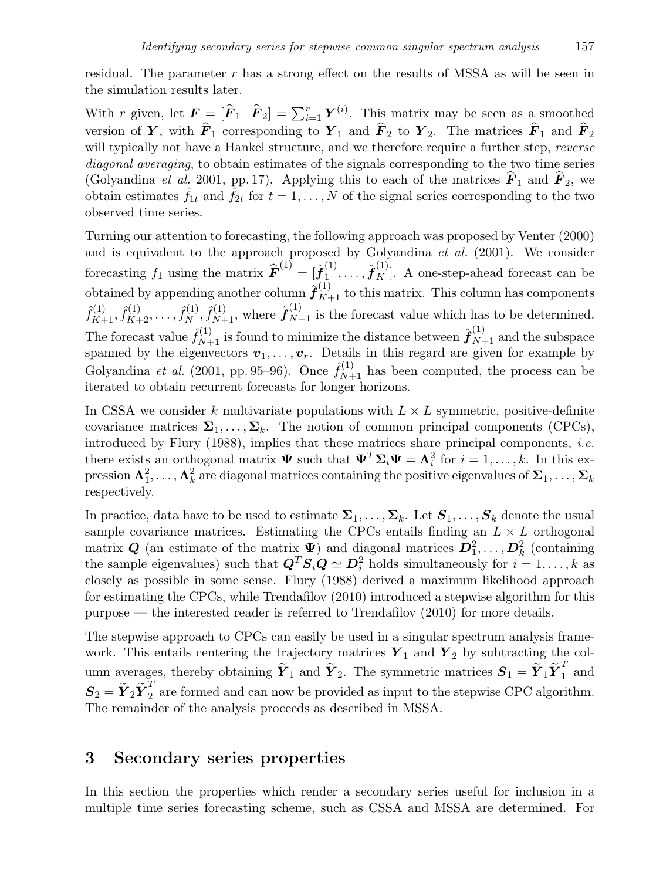residual. The parameter  $r$  has a strong effect on the results of MSSA as will be seen in the simulation results later.

With r given, let  $\mathbf{F} = [\hat{\mathbf{F}}_1 \ \hat{\mathbf{F}}_2] = \sum_{i=1}^r \mathbf{Y}^{(i)}$ . This matrix may be seen as a smoothed version of Y, with  $\hat{F}_1$  corresponding to Y<sub>1</sub> and  $\hat{F}_2$  to Y<sub>2</sub>. The matrices  $\hat{F}_1$  and  $\hat{F}_2$ will typically not have a Hankel structure, and we therefore require a further step, *reverse* diagonal averaging, to obtain estimates of the signals corresponding to the two time series (Golyandina *et al.* 2001, pp. 17). Applying this to each of the matrices  $\hat{F}_1$  and  $\hat{F}_2$ , we obtain estimates  $\hat{f}_{1t}$  and  $\hat{f}_{2t}$  for  $t = 1, ..., N$  of the signal series corresponding to the two observed time series.

Turning our attention to forecasting, the following approach was proposed by Venter (2000) and is equivalent to the approach proposed by Golyandina  $et \ al.$  (2001). We consider forecasting  $f_1$  using the matrix  $\widehat{\boldsymbol{F}}^{(1)} = [\widehat{\boldsymbol{f}}_1^{(1)}]$  $\hat{\mathbf{f}}_{1}^{(1)},\ldots,\hat{\boldsymbol{f}}_{K}^{(1)}$ . A one-step-ahead forecast can be obtained by appending another column  $\hat{\boldsymbol{f}}_{K+1}^{(1)}$  to this matrix. This column has components  $\hat{f}_{K+1}^{(1)}, \hat{f}_{K+2}^{(1)}, \ldots, \hat{f}_{N}^{(1)}$  $\hat{f}_{N+1}^{(1)}, \hat{f}_{N+1}^{(1)}$ , where  $\hat{f}_{N+1}^{(1)}$  is the forecast value which has to be determined. The forecast value  $\hat{f}_{N+1}^{(1)}$  is found to minimize the distance between  $\hat{f}_{N+1}^{(1)}$  and the subspace spanned by the eigenvectors  $v_1, \ldots, v_r$ . Details in this regard are given for example by Golyandina *et al.* (2001, pp. 95–96). Once  $\hat{f}_{N+1}^{(1)}$  has been computed, the process can be iterated to obtain recurrent forecasts for longer horizons.

In CSSA we consider k multivariate populations with  $L \times L$  symmetric, positive-definite covariance matrices  $\Sigma_1, \ldots, \Sigma_k$ . The notion of common principal components (CPCs), introduced by Flury  $(1988)$ , implies that these matrices share principal components, *i.e.* there exists an orthogonal matrix  $\Psi$  such that  $\Psi^T \Sigma_i \Psi = \Lambda_i^2$  for  $i = 1, ..., k$ . In this ex- $\text{pression }\boldsymbol{\Lambda}^2_1,\dots,\boldsymbol{\Lambda}^2_k$  are diagonal matrices containing the positive eigenvalues of  $\boldsymbol{\Sigma}_1,\dots,\boldsymbol{\Sigma}_k$ respectively.

In practice, data have to be used to estimate  $\Sigma_1, \ldots, \Sigma_k$ . Let  $S_1, \ldots, S_k$  denote the usual sample covariance matrices. Estimating the CPCs entails finding an  $L \times L$  orthogonal matrix Q (an estimate of the matrix  $\Psi$ ) and diagonal matrices  $D_1^2, \ldots, D_k^2$  (containing the sample eigenvalues) such that  $\mathbf{Q}^T \mathbf{S}_i \mathbf{Q} \simeq \mathbf{D}_i^2$  holds simultaneously for  $i = 1, ..., k$  as closely as possible in some sense. Flury (1988) derived a maximum likelihood approach for estimating the CPCs, while Trendafilov (2010) introduced a stepwise algorithm for this purpose — the interested reader is referred to Trendafilov (2010) for more details.

The stepwise approach to CPCs can easily be used in a singular spectrum analysis framework. This entails centering the trajectory matrices  $Y_1$  and  $Y_2$  by subtracting the column averages, thereby obtaining  $\widetilde{Y}_1$  and  $\widetilde{Y}_2$ . The symmetric matrices  $S_1 = \widetilde{Y}_1 \widetilde{Y}_1^T$  and  $S_2 = \widetilde{\boldsymbol{Y}}_2 \widetilde{\boldsymbol{Y}}_2^T$  are formed and can now be provided as input to the stepwise CPC algorithm. The remainder of the analysis proceeds as described in MSSA.

# 3 Secondary series properties

In this section the properties which render a secondary series useful for inclusion in a multiple time series forecasting scheme, such as CSSA and MSSA are determined. For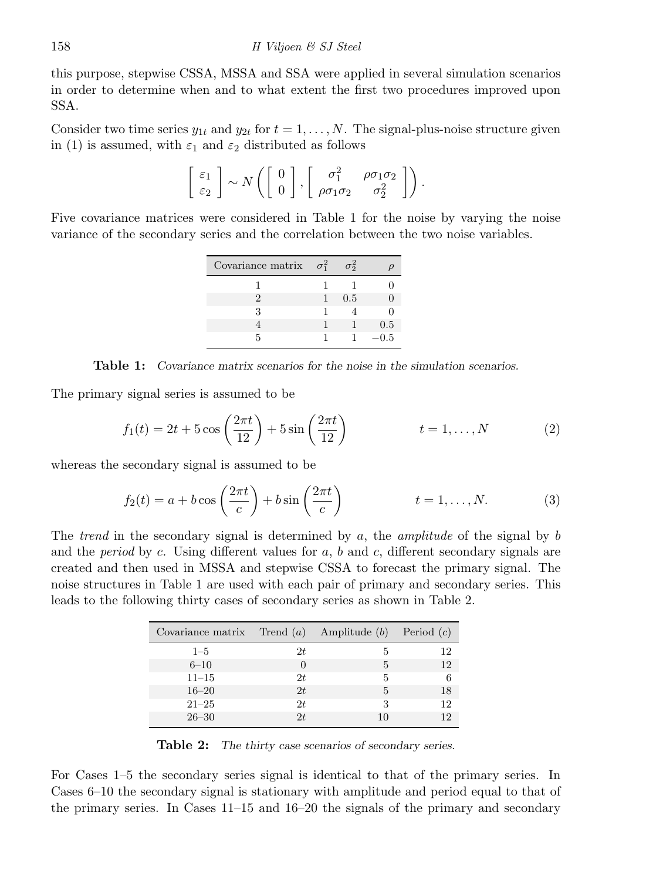this purpose, stepwise CSSA, MSSA and SSA were applied in several simulation scenarios in order to determine when and to what extent the first two procedures improved upon SSA.

Consider two time series  $y_{1t}$  and  $y_{2t}$  for  $t = 1, \ldots, N$ . The signal-plus-noise structure given in (1) is assumed, with  $\varepsilon_1$  and  $\varepsilon_2$  distributed as follows

$$
\left[\begin{array}{c} \varepsilon_1\\ \varepsilon_2 \end{array}\right] \sim N\left(\left[\begin{array}{c} 0\\ 0 \end{array}\right], \left[\begin{array}{cc} \sigma_1^2 & \rho\sigma_1\sigma_2\\ \rho\sigma_1\sigma_2 & \sigma_2^2 \end{array}\right]\right).
$$

Five covariance matrices were considered in Table 1 for the noise by varying the noise variance of the secondary series and the correlation between the two noise variables.

| Covariance matrix $\sigma_1^2$ | π5  |     |
|--------------------------------|-----|-----|
|                                |     |     |
| 2                              | 0.5 |     |
| З                              |     |     |
|                                |     | 0.5 |
| ц                              |     | 0.5 |

Table 1: Covariance matrix scenarios for the noise in the simulation scenarios.

The primary signal series is assumed to be

$$
f_1(t) = 2t + 5\cos\left(\frac{2\pi t}{12}\right) + 5\sin\left(\frac{2\pi t}{12}\right) \qquad t = 1, ..., N \qquad (2)
$$

whereas the secondary signal is assumed to be

$$
f_2(t) = a + b \cos\left(\frac{2\pi t}{c}\right) + b \sin\left(\frac{2\pi t}{c}\right) \qquad t = 1, \dots, N. \tag{3}
$$

The trend in the secondary signal is determined by a, the amplitude of the signal by  $b$ and the *period* by c. Using different values for  $a, b$  and  $c$ , different secondary signals are created and then used in MSSA and stepwise CSSA to forecast the primary signal. The noise structures in Table 1 are used with each pair of primary and secondary series. This leads to the following thirty cases of secondary series as shown in Table 2.

| Covariance matrix Trend $(a)$ Amplitude $(b)$ |     |   | Period $(c)$ |
|-----------------------------------------------|-----|---|--------------|
| $1 - 5$                                       | 2t. | 5 | 12           |
| $6 - 10$                                      |     | 5 | 12           |
| $11 - 15$                                     | 2t. | 5 |              |
| $16 - 20$                                     | 2t  | 5 | 18           |
| $21 - 25$                                     | 2t  | 3 | 12           |
| $26 - 30$                                     | 2t  |   | 19           |

Table 2: The thirty case scenarios of secondary series.

For Cases 1–5 the secondary series signal is identical to that of the primary series. In Cases 6–10 the secondary signal is stationary with amplitude and period equal to that of the primary series. In Cases 11–15 and 16–20 the signals of the primary and secondary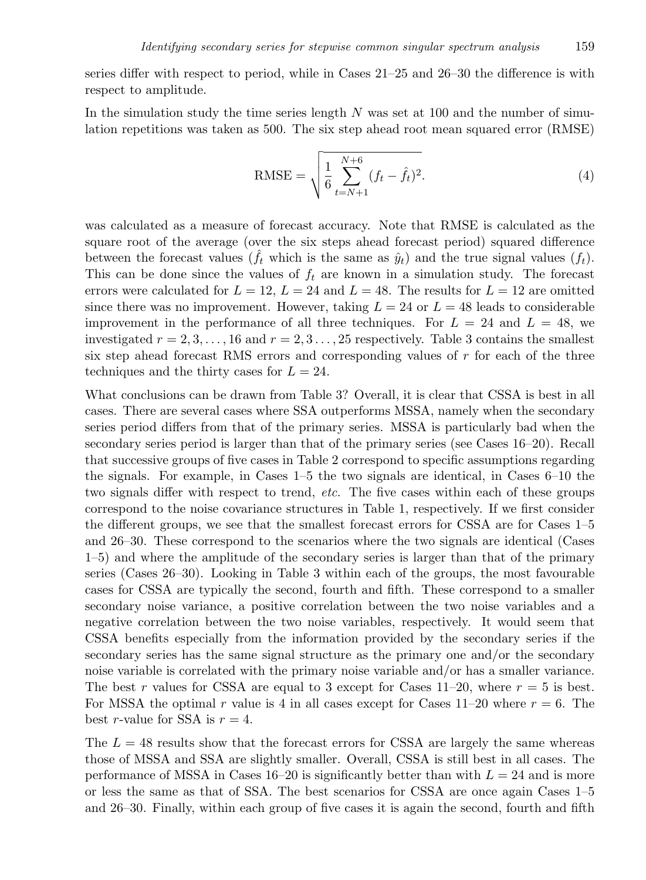series differ with respect to period, while in Cases 21–25 and 26–30 the difference is with respect to amplitude.

In the simulation study the time series length  $N$  was set at 100 and the number of simulation repetitions was taken as 500. The six step ahead root mean squared error (RMSE)

RMSE = 
$$
\sqrt{\frac{1}{6} \sum_{t=N+1}^{N+6} (f_t - \hat{f}_t)^2}.
$$
 (4)

was calculated as a measure of forecast accuracy. Note that RMSE is calculated as the square root of the average (over the six steps ahead forecast period) squared difference between the forecast values  $(\tilde{f}_t$  which is the same as  $\hat{y}_t$ ) and the true signal values  $(f_t)$ . This can be done since the values of  $f_t$  are known in a simulation study. The forecast errors were calculated for  $L = 12$ ,  $L = 24$  and  $L = 48$ . The results for  $L = 12$  are omitted since there was no improvement. However, taking  $L = 24$  or  $L = 48$  leads to considerable improvement in the performance of all three techniques. For  $L = 24$  and  $L = 48$ , we investigated  $r = 2, 3, \ldots, 16$  and  $r = 2, 3, \ldots, 25$  respectively. Table 3 contains the smallest six step ahead forecast RMS errors and corresponding values of r for each of the three techniques and the thirty cases for  $L = 24$ .

What conclusions can be drawn from Table 3? Overall, it is clear that CSSA is best in all cases. There are several cases where SSA outperforms MSSA, namely when the secondary series period differs from that of the primary series. MSSA is particularly bad when the secondary series period is larger than that of the primary series (see Cases 16–20). Recall that successive groups of five cases in Table 2 correspond to specific assumptions regarding the signals. For example, in Cases 1–5 the two signals are identical, in Cases 6–10 the two signals differ with respect to trend, etc. The five cases within each of these groups correspond to the noise covariance structures in Table 1, respectively. If we first consider the different groups, we see that the smallest forecast errors for CSSA are for Cases 1–5 and 26–30. These correspond to the scenarios where the two signals are identical (Cases 1–5) and where the amplitude of the secondary series is larger than that of the primary series (Cases 26–30). Looking in Table 3 within each of the groups, the most favourable cases for CSSA are typically the second, fourth and fifth. These correspond to a smaller secondary noise variance, a positive correlation between the two noise variables and a negative correlation between the two noise variables, respectively. It would seem that CSSA benefits especially from the information provided by the secondary series if the secondary series has the same signal structure as the primary one and/or the secondary noise variable is correlated with the primary noise variable and/or has a smaller variance. The best r values for CSSA are equal to 3 except for Cases 11–20, where  $r = 5$  is best. For MSSA the optimal r value is 4 in all cases except for Cases  $11-20$  where  $r = 6$ . The best r-value for SSA is  $r = 4$ .

The  $L = 48$  results show that the forecast errors for CSSA are largely the same whereas those of MSSA and SSA are slightly smaller. Overall, CSSA is still best in all cases. The performance of MSSA in Cases 16–20 is significantly better than with  $L = 24$  and is more or less the same as that of SSA. The best scenarios for CSSA are once again Cases 1–5 and 26–30. Finally, within each group of five cases it is again the second, fourth and fifth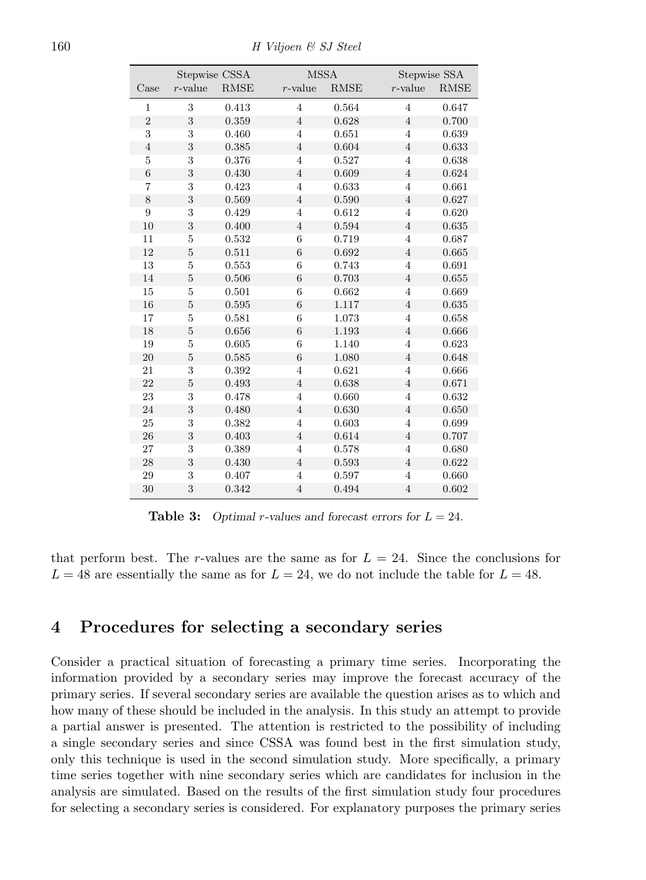160 H Viljoen & SJ Steel

| Stepwise CSSA    |                |             | <b>MSSA</b>      |             | Stepwise SSA   |             |
|------------------|----------------|-------------|------------------|-------------|----------------|-------------|
| Case             | $r$ -value     | <b>RMSE</b> | $r$ -value       | <b>RMSE</b> | $r$ -value     | <b>RMSE</b> |
| 1                | 3              | 0.413       | $\overline{4}$   | 0.564       | $\overline{4}$ | 0.647       |
| $\overline{2}$   | 3              | 0.359       | $\overline{4}$   | 0.628       | $\overline{4}$ | 0.700       |
| 3                | $\sqrt{3}$     | 0.460       | $\overline{4}$   | 0.651       | $\overline{4}$ | 0.639       |
| $\overline{4}$   | $\,3$          | 0.385       | $\overline{4}$   | 0.604       | $\overline{4}$ | 0.633       |
| $\overline{5}$   | 3              | 0.376       | $\overline{4}$   | 0.527       | $\overline{4}$ | 0.638       |
| $\boldsymbol{6}$ | 3              | 0.430       | $\sqrt{4}$       | 0.609       | $\overline{4}$ | 0.624       |
| $\overline{7}$   | $\sqrt{3}$     | 0.423       | $\overline{4}$   | 0.633       | $\overline{4}$ | 0.661       |
| 8                | 3              | 0.569       | $\overline{4}$   | 0.590       | $\overline{4}$ | 0.627       |
| 9                | 3              | 0.429       | 4                | 0.612       | $\overline{4}$ | 0.620       |
| 10               | 3              | 0.400       | $\sqrt{4}$       | 0.594       | $\sqrt{4}$     | 0.635       |
| 11               | $\bf 5$        | 0.532       | $\boldsymbol{6}$ | 0.719       | $\overline{4}$ | 0.687       |
| 12               | $\overline{5}$ | 0.511       | 6                | 0.692       | $\sqrt{4}$     | 0.665       |
| 13               | $\overline{5}$ | 0.553       | $\boldsymbol{6}$ | 0.743       | $\overline{4}$ | 0.691       |
| 14               | $\overline{5}$ | 0.506       | $\boldsymbol{6}$ | 0.703       | $\overline{4}$ | 0.655       |
| 15               | 5              | 0.501       | 6                | 0.662       | $\overline{4}$ | 0.669       |
| 16               | $\bf 5$        | 0.595       | 6                | 1.117       | $\overline{4}$ | 0.635       |
| 17               | $\overline{5}$ | 0.581       | 6                | 1.073       | $\overline{4}$ | 0.658       |
| 18               | $\overline{5}$ | 0.656       | 6                | 1.193       | $\overline{4}$ | 0.666       |
| 19               | 5              | 0.605       | 6                | 1.140       | $\overline{4}$ | 0.623       |
| 20               | $\overline{5}$ | 0.585       | $\boldsymbol{6}$ | 1.080       | $\overline{4}$ | 0.648       |
| 21               | 3              | 0.392       | $\overline{4}$   | 0.621       | $\overline{4}$ | 0.666       |
| 22               | $\overline{5}$ | 0.493       | $\overline{4}$   | 0.638       | $\overline{4}$ | 0.671       |
| 23               | 3              | 0.478       | $\overline{4}$   | 0.660       | $\overline{4}$ | 0.632       |
| 24               | 3              | 0.480       | $\overline{4}$   | 0.630       | $\overline{4}$ | 0.650       |
| 25               | 3              | 0.382       | $\overline{4}$   | 0.603       | $\overline{4}$ | 0.699       |
| 26               | $\sqrt{3}$     | 0.403       | $\overline{4}$   | 0.614       | $\overline{4}$ | 0.707       |
| 27               | 3              | 0.389       | $\overline{4}$   | 0.578       | $\overline{4}$ | 0.680       |
| 28               | 3              | 0.430       | $\overline{4}$   | 0.593       | $\sqrt{4}$     | 0.622       |
| 29               | 3              | 0.407       | $\overline{4}$   | 0.597       | $\overline{4}$ | 0.660       |
| 30               | 3              | 0.342       | $\overline{4}$   | 0.494       | $\overline{4}$ | 0.602       |

**Table 3:** Optimal r-values and forecast errors for  $L = 24$ .

that perform best. The r-values are the same as for  $L = 24$ . Since the conclusions for  $L = 48$  are essentially the same as for  $L = 24$ , we do not include the table for  $L = 48$ .

## 4 Procedures for selecting a secondary series

Consider a practical situation of forecasting a primary time series. Incorporating the information provided by a secondary series may improve the forecast accuracy of the primary series. If several secondary series are available the question arises as to which and how many of these should be included in the analysis. In this study an attempt to provide a partial answer is presented. The attention is restricted to the possibility of including a single secondary series and since CSSA was found best in the first simulation study, only this technique is used in the second simulation study. More specifically, a primary time series together with nine secondary series which are candidates for inclusion in the analysis are simulated. Based on the results of the first simulation study four procedures for selecting a secondary series is considered. For explanatory purposes the primary series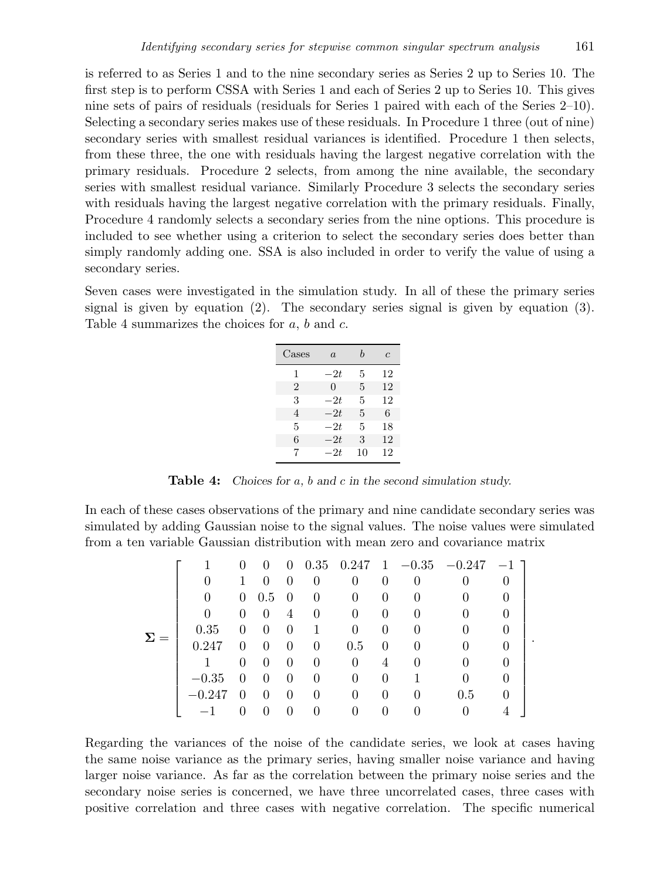is referred to as Series 1 and to the nine secondary series as Series 2 up to Series 10. The first step is to perform CSSA with Series 1 and each of Series 2 up to Series 10. This gives nine sets of pairs of residuals (residuals for Series 1 paired with each of the Series 2–10). Selecting a secondary series makes use of these residuals. In Procedure 1 three (out of nine) secondary series with smallest residual variances is identified. Procedure 1 then selects, from these three, the one with residuals having the largest negative correlation with the primary residuals. Procedure 2 selects, from among the nine available, the secondary series with smallest residual variance. Similarly Procedure 3 selects the secondary series with residuals having the largest negative correlation with the primary residuals. Finally, Procedure 4 randomly selects a secondary series from the nine options. This procedure is included to see whether using a criterion to select the secondary series does better than simply randomly adding one. SSA is also included in order to verify the value of using a secondary series.

Seven cases were investigated in the simulation study. In all of these the primary series signal is given by equation (2). The secondary series signal is given by equation (3). Table 4 summarizes the choices for  $a, b$  and  $c$ .

| Cases          | $\alpha$ | h  | $\epsilon$ |
|----------------|----------|----|------------|
| 1              | $-2t$    | 5  | 12         |
| $\overline{2}$ | 0        | 5  | 12         |
| З              | $-2t$    | 5  | 12         |
| 4              | $-2t$    | 5  | 6          |
| 5              | $-2t$    | 5  | 18         |
| 6              | $-2t$    | 3  | 12         |
| 7              | $-2t$    | 10 | 12         |

Table 4: Choices for a, b and c in the second simulation study.

In each of these cases observations of the primary and nine candidate secondary series was simulated by adding Gaussian noise to the signal values. The noise values were simulated from a ten variable Gaussian distribution with mean zero and covariance matrix

|            |          | $\theta$ | 0            |          |          |          |                  |   | $0$ 0.35 0.247 1 -0.35 -0.247 -1] |          |
|------------|----------|----------|--------------|----------|----------|----------|------------------|---|-----------------------------------|----------|
|            |          |          | $\theta$     | $\theta$ | $\theta$ | 0        | 0                | 0 | 0                                 |          |
|            | $\theta$ |          | $0\quad 0.5$ | - 0      | $\Omega$ | 0        | 0                |   | $\theta$                          |          |
|            | 0        | $\Omega$ | $\theta$     | 4        | $\Omega$ | $\Omega$ | $\Omega$         |   | $\theta$                          | $\cup$   |
| $\Sigma =$ | 0.35     | 0        | $\theta$     | $\theta$ | 1        | 0        | $\Omega$         |   |                                   |          |
|            | 0.247    | 0        | $\Omega$     | $\theta$ | $\Omega$ | 0.5      | $\Omega$         |   | 0                                 |          |
|            |          | 0        | $\theta$     | $\theta$ | $\Omega$ | $\Omega$ | 4                |   |                                   | $\cup$   |
|            | $-0.35$  | $\theta$ | $\theta$     | $\theta$ | 0        | 0        | $\Omega$         |   |                                   |          |
|            | $-0.247$ | $\theta$ | $\theta$     | $\theta$ | $\Omega$ | 0        | 0                |   | $0.5\,$                           | $\theta$ |
|            |          |          | $\theta$     | $\theta$ | $\theta$ |          | $\left( \right)$ |   | $\theta$                          |          |

.

Regarding the variances of the noise of the candidate series, we look at cases having the same noise variance as the primary series, having smaller noise variance and having larger noise variance. As far as the correlation between the primary noise series and the secondary noise series is concerned, we have three uncorrelated cases, three cases with positive correlation and three cases with negative correlation. The specific numerical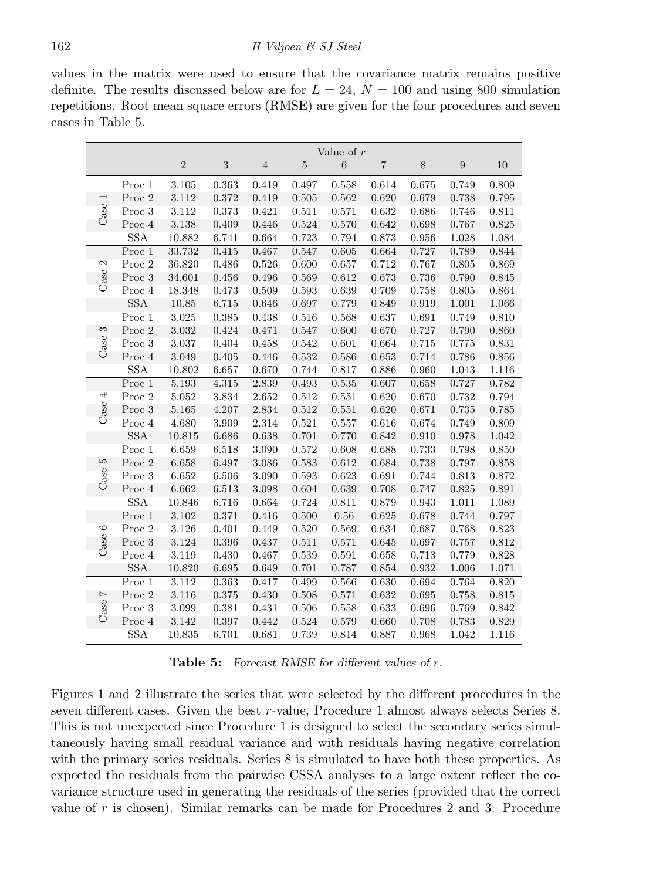values in the matrix were used to ensure that the covariance matrix remains positive definite. The results discussed below are for  $L = 24$ ,  $N = 100$  and using 800 simulation repetitions. Root mean square errors (RMSE) are given for the four procedures and seven cases in Table 5.

|                          |                              | Value of $r$ |            |                |                |             |                         |       |       |       |
|--------------------------|------------------------------|--------------|------------|----------------|----------------|-------------|-------------------------|-------|-------|-------|
|                          |                              | $\sqrt{2}$   | $\sqrt{3}$ | $\overline{4}$ | $\overline{5}$ | $\,6$       | $\overline{\mathbf{7}}$ | $8\,$ | 9     | 10    |
|                          | Proc 1                       | 3.105        | 0.363      | 0.419          | 0.497          | 0.558       | 0.614                   | 0.675 | 0.749 | 0.809 |
| $\overline{ }$           | Proc 2                       | 3.112        | 0.372      | 0.419          | 0.505          | 0.562       | 0.620                   | 0.679 | 0.738 | 0.795 |
| Case                     | Proc 3                       | 3.112        | 0.373      | 0.421          | 0.511          | 0.571       | 0.632                   | 0.686 | 0.746 | 0.811 |
|                          | Proc 4                       | $3.138\,$    | 0.409      | 0.446          | 0.524          | 0.570       | 0.642                   | 0.698 | 0.767 | 0.825 |
|                          | SSA                          | 10.882       | 6.741      | 0.664          | 0.723          | 0.794       | 0.873                   | 0.956 | 1.028 | 1.084 |
|                          | Proc 1                       | 33.732       | 0.415      | 0.467          | 0.547          | 0.605       | 0.664                   | 0.727 | 0.789 | 0.844 |
| 2                        | Proc 2                       | 36.820       | 0.486      | 0.526          | 0.600          | 0.657       | 0.712                   | 0.767 | 0.805 | 0.869 |
| Case                     | Proc 3                       | 34.601       | 0.456      | 0.496          | 0.569          | 0.612       | 0.673                   | 0.736 | 0.790 | 0.845 |
|                          | Proc 4                       | 18.348       | 0.473      | 0.509          | 0.593          | 0.639       | 0.709                   | 0.758 | 0.805 | 0.864 |
|                          | <b>SSA</b>                   | 10.85        | 6.715      | 0.646          | 0.697          | 0.779       | 0.849                   | 0.919 | 1.001 | 1.066 |
|                          | Proc 1                       | 3.025        | 0.385      | 0.438          | 0.516          | 0.568       | 0.637                   | 0.691 | 0.749 | 0.810 |
|                          | Proc <sub>2</sub>            | 3.032        | 0.424      | 0.471          | 0.547          | 0.600       | 0.670                   | 0.727 | 0.790 | 0.860 |
| Case 3                   | Proc 3                       | 3.037        | 0.404      | 0.458          | 0.542          | 0.601       | 0.664                   | 0.715 | 0.775 | 0.831 |
|                          | Proc 4                       | 3.049        | 0.405      | 0.446          | 0.532          | 0.586       | 0.653                   | 0.714 | 0.786 | 0.856 |
|                          | <b>SSA</b>                   | 10.802       | 6.657      | 0.670          | 0.744          | 0.817       | 0.886                   | 0.960 | 1.043 | 1.116 |
|                          | $\overline{\mathrm{Proc}}$ 1 | 5.193        | 4.315      | 2.839          | 0.493          | $\,0.535\,$ | 0.607                   | 0.658 | 0.727 | 0.782 |
|                          | Proc <sub>2</sub>            | 5.052        | 3.834      | 2.652          | 0.512          | 0.551       | 0.620                   | 0.670 | 0.732 | 0.794 |
| Case 4                   | Proc 3                       | 5.165        | 4.207      | 2.834          | 0.512          | 0.551       | 0.620                   | 0.671 | 0.735 | 0.785 |
|                          | Proc 4                       | 4.680        | 3.909      | 2.314          | 0.521          | 0.557       | 0.616                   | 0.674 | 0.749 | 0.809 |
|                          | <b>SSA</b>                   | 10.815       | 6.686      | 0.638          | 0.701          | 0.770       | 0.842                   | 0.910 | 0.978 | 1.042 |
|                          | Proc 1                       | 6.659        | 6.518      | 3.090          | 0.572          | 0.608       | 0.688                   | 0.733 | 0.798 | 0.850 |
| IJ                       | Proc 2                       | 6.658        | 6.497      | 3.086          | 0.583          | 0.612       | 0.684                   | 0.738 | 0.797 | 0.858 |
| Case                     | Proc 3                       | 6.652        | 6.506      | 3.090          | 0.593          | 0.623       | 0.691                   | 0.744 | 0.813 | 0.872 |
|                          | Proc 4                       | 6.662        | 6.513      | 3.098          | 0.604          | 0.639       | 0.708                   | 0.747 | 0.825 | 0.891 |
|                          | <b>SSA</b>                   | 10.846       | 6.716      | 0.664          | 0.724          | 0.811       | 0.879                   | 0.943 | 1.011 | 1.089 |
|                          | Proc 1                       | 3.102        | 0.371      | 0.416          | 0.500          | 0.56        | 0.625                   | 0.678 | 0.744 | 0.797 |
| $\circ$                  | Proc 2                       | 3.126        | 0.401      | 0.449          | 0.520          | 0.569       | 0.634                   | 0.687 | 0.768 | 0.823 |
| Case                     | Proc 3                       | 3.124        | 0.396      | 0.437          | 0.511          | 0.571       | 0.645                   | 0.697 | 0.757 | 0.812 |
|                          | Proc 4                       | 3.119        | 0.430      | 0.467          | 0.539          | 0.591       | 0.658                   | 0.713 | 0.779 | 0.828 |
|                          | <b>SSA</b>                   | 10.820       | 6.695      | 0.649          | 0.701          | 0.787       | 0.854                   | 0.932 | 1.006 | 1.071 |
|                          | Proc 1                       | 3.112        | 0.363      | 0.417          | 0.499          | 0.566       | 0.630                   | 0.694 | 0.764 | 0.820 |
| $\overline{\phantom{0}}$ | Proc <sub>2</sub>            | 3.116        | 0.375      | 0.430          | 0.508          | 0.571       | 0.632                   | 0.695 | 0.758 | 0.815 |
| Case                     | Proc 3                       | 3.099        | 0.381      | 0.431          | 0.506          | 0.558       | 0.633                   | 0.696 | 0.769 | 0.842 |
|                          | Proc 4                       | 3.142        | 0.397      | 0.442          | 0.524          | 0.579       | 0.660                   | 0.708 | 0.783 | 0.829 |
|                          | <b>SSA</b>                   | 10.835       | 6.701      | 0.681          | 0.739          | 0.814       | 0.887                   | 0.968 | 1.042 | 1.116 |

Table 5: Forecast RMSE for different values of r.

Figures 1 and 2 illustrate the series that were selected by the different procedures in the seven different cases. Given the best r-value, Procedure 1 almost always selects Series 8. This is not unexpected since Procedure 1 is designed to select the secondary series simultaneously having small residual variance and with residuals having negative correlation with the primary series residuals. Series 8 is simulated to have both these properties. As expected the residuals from the pairwise CSSA analyses to a large extent reflect the covariance structure used in generating the residuals of the series (provided that the correct value of  $r$  is chosen). Similar remarks can be made for Procedures 2 and 3: Procedure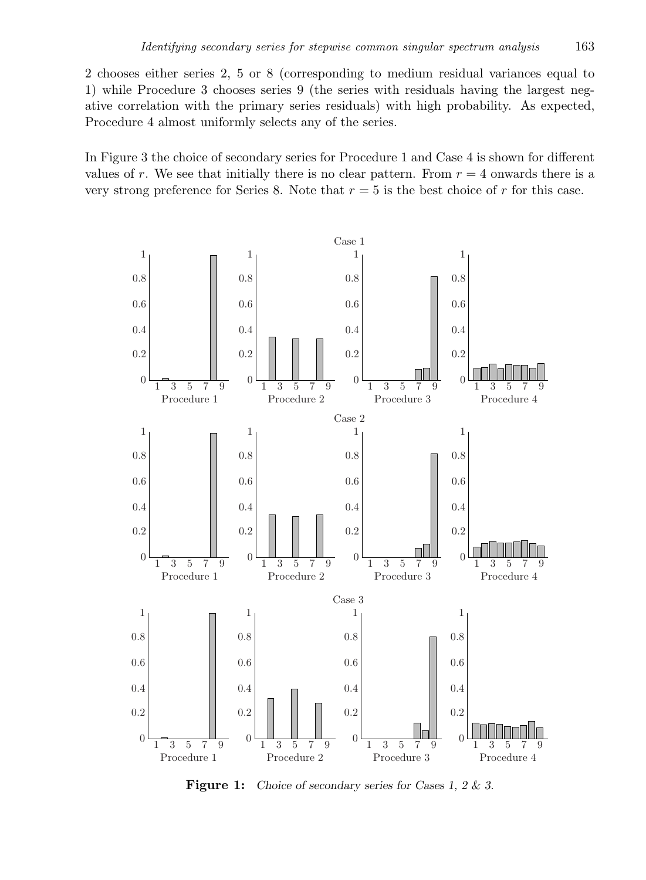2 chooses either series 2, 5 or 8 (corresponding to medium residual variances equal to 1) while Procedure 3 chooses series 9 (the series with residuals having the largest negative correlation with the primary series residuals) with high probability. As expected, Procedure 4 almost uniformly selects any of the series.

In Figure 3 the choice of secondary series for Procedure 1 and Case 4 is shown for different values of r. We see that initially there is no clear pattern. From  $r = 4$  onwards there is a very strong preference for Series 8. Note that  $r = 5$  is the best choice of r for this case.



Figure 1: Choice of secondary series for Cases 1, 2 & 3.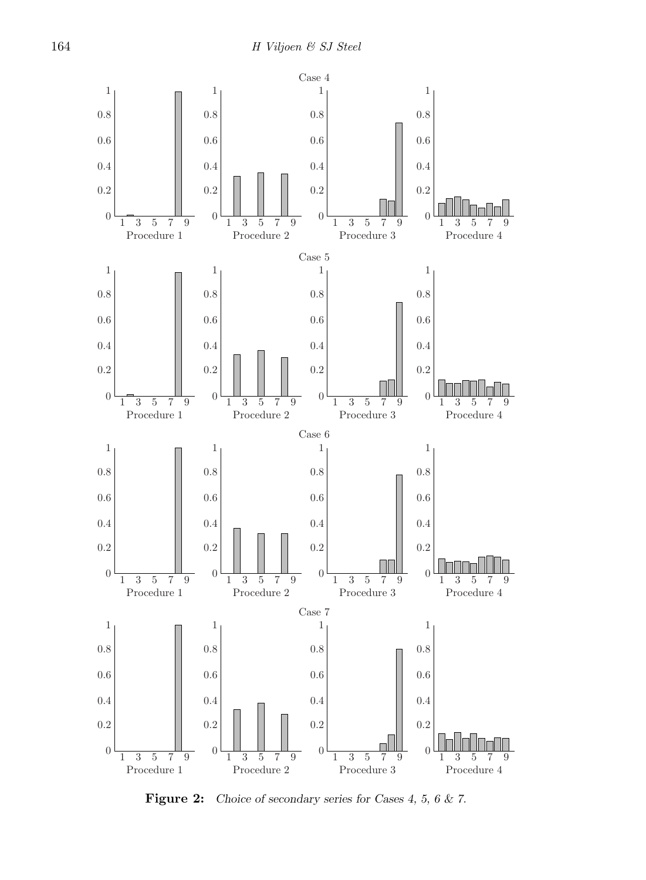

Figure 2: Choice of secondary series for Cases 4, 5, 6 & 7.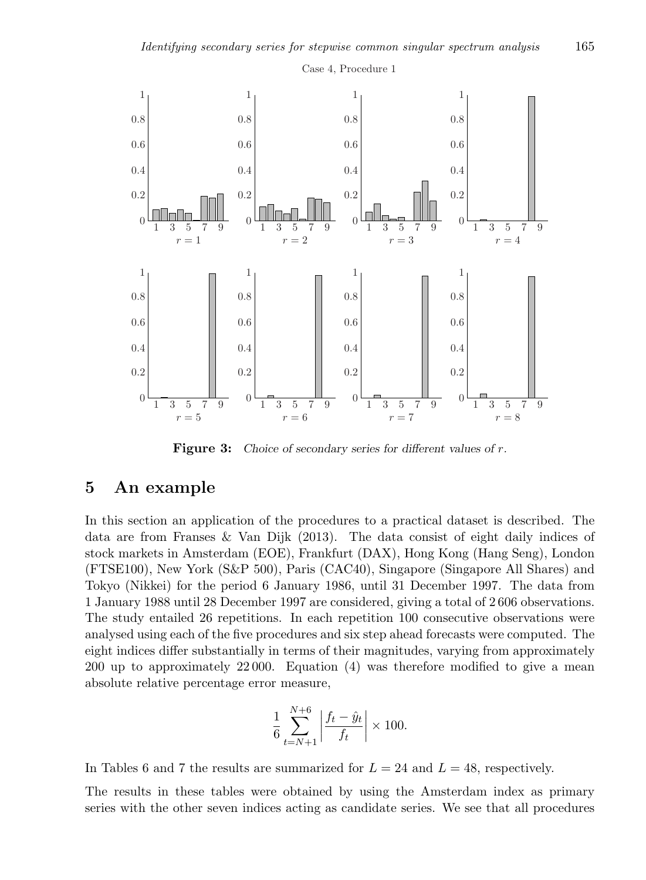

Figure 3: Choice of secondary series for different values of r.

#### 5 An example

In this section an application of the procedures to a practical dataset is described. The data are from Franses & Van Dijk (2013). The data consist of eight daily indices of stock markets in Amsterdam (EOE), Frankfurt (DAX), Hong Kong (Hang Seng), London (FTSE100), New York (S&P 500), Paris (CAC40), Singapore (Singapore All Shares) and Tokyo (Nikkei) for the period 6 January 1986, until 31 December 1997. The data from 1 January 1988 until 28 December 1997 are considered, giving a total of 2 606 observations. The study entailed 26 repetitions. In each repetition 100 consecutive observations were analysed using each of the five procedures and six step ahead forecasts were computed. The eight indices differ substantially in terms of their magnitudes, varying from approximately 200 up to approximately 22 000. Equation (4) was therefore modified to give a mean absolute relative percentage error measure,

$$
\frac{1}{6} \sum_{t=N+1}^{N+6} \left| \frac{f_t - \hat{y}_t}{f_t} \right| \times 100.
$$

In Tables 6 and 7 the results are summarized for  $L = 24$  and  $L = 48$ , respectively.

The results in these tables were obtained by using the Amsterdam index as primary series with the other seven indices acting as candidate series. We see that all procedures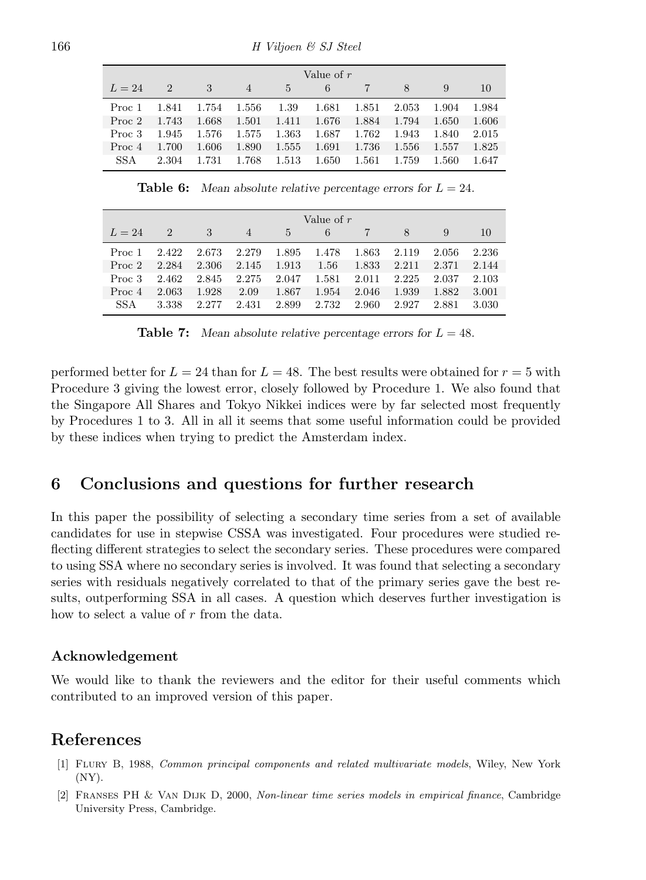|          | Value of $r$  |       |                |       |       |       |       |       |       |  |  |
|----------|---------------|-------|----------------|-------|-------|-------|-------|-------|-------|--|--|
| $L = 24$ | $\mathcal{D}$ | 3     | $\overline{4}$ | 5.    | 6     |       | 8     |       | 10    |  |  |
| Proc 1   | 1.841         | 1.754 | 1.556          | 1.39  | 1.681 | 1.851 | 2.053 | 1.904 | 1.984 |  |  |
| Proc 2   | 1.743         | 1.668 | 1.501          | 1.411 | 1.676 | 1.884 | 1.794 | 1.650 | 1.606 |  |  |
| Proc 3   | 1.945         | 1.576 | 1.575          | 1.363 | 1.687 | 1.762 | 1.943 | 1.840 | 2.015 |  |  |
| Proc 4   | 1.700         | 1.606 | 1.890          | 1.555 | 1.691 | 1.736 | 1.556 | 1.557 | 1.825 |  |  |
| SS A     | 2.304         | 1.731 | 1.768          | 1.513 | 1.650 | 1.561 | 1.759 | 1.560 | 1.647 |  |  |

**Table 6:** Mean absolute relative percentage errors for  $L = 24$ .

|            | Value of $r$  |       |       |       |       |       |       |       |       |  |  |
|------------|---------------|-------|-------|-------|-------|-------|-------|-------|-------|--|--|
| $L=24$     | $\mathcal{D}$ | 3     | 4     | 5     | 6     |       | 8     |       | 10    |  |  |
| Proc 1     | 2.422         | 2.673 | 2.279 | 1.895 | 1.478 | 1.863 | 2.119 | 2.056 | 2.236 |  |  |
| Proc 2     | 2.284         | 2.306 | 2.145 | 1.913 | 1.56  | 1.833 | 2.211 | 2.371 | 2.144 |  |  |
| Proc 3     | 2.462         | 2.845 | 2.275 | 2.047 | 1.581 | 2.011 | 2.225 | 2.037 | 2.103 |  |  |
| Proc 4     | 2.063         | 1.928 | 2.09  | 1.867 | 1.954 | 2.046 | 1.939 | 1.882 | 3.001 |  |  |
| <b>SSA</b> | 3.338         | 2.277 | 2.431 | 2.899 | 2.732 | 2.960 | 2.927 | 2.881 | 3.030 |  |  |

**Table 7:** Mean absolute relative percentage errors for  $L = 48$ .

performed better for  $L = 24$  than for  $L = 48$ . The best results were obtained for  $r = 5$  with Procedure 3 giving the lowest error, closely followed by Procedure 1. We also found that the Singapore All Shares and Tokyo Nikkei indices were by far selected most frequently by Procedures 1 to 3. All in all it seems that some useful information could be provided by these indices when trying to predict the Amsterdam index.

# 6 Conclusions and questions for further research

In this paper the possibility of selecting a secondary time series from a set of available candidates for use in stepwise CSSA was investigated. Four procedures were studied reflecting different strategies to select the secondary series. These procedures were compared to using SSA where no secondary series is involved. It was found that selecting a secondary series with residuals negatively correlated to that of the primary series gave the best results, outperforming SSA in all cases. A question which deserves further investigation is how to select a value of r from the data.

#### Acknowledgement

We would like to thank the reviewers and the editor for their useful comments which contributed to an improved version of this paper.

### References

- [1] Flury B, 1988, Common principal components and related multivariate models, Wiley, New York (NY).
- [2] Franses PH & Van Dijk D, 2000, Non-linear time series models in empirical finance, Cambridge University Press, Cambridge.